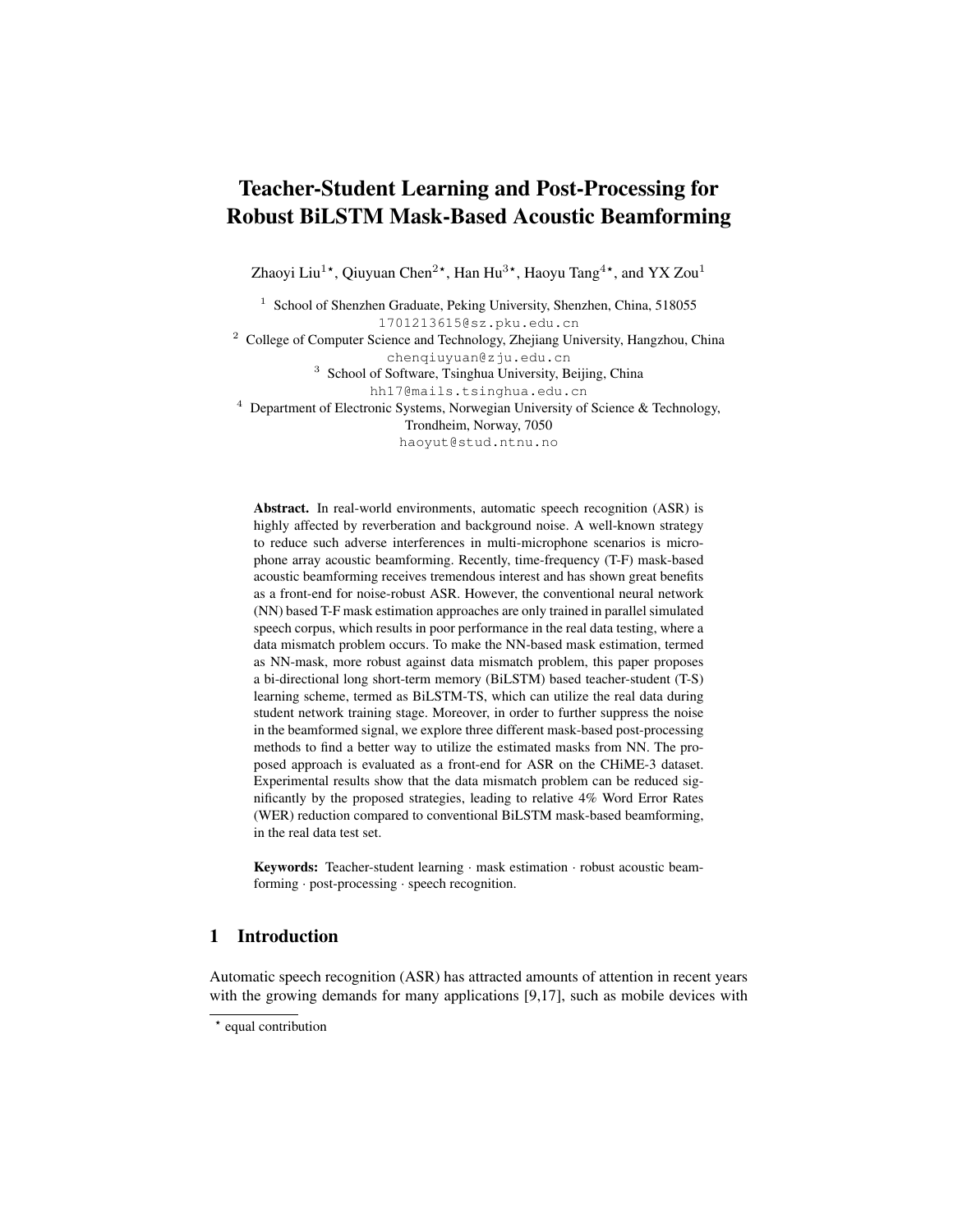# Teacher-Student Learning and Post-Processing for Robust BiLSTM Mask-Based Acoustic Beamforming

Zhaoyi Liu<sup>1\*</sup>, Qiuyuan Chen<sup>2\*</sup>, Han Hu<sup>3\*</sup>, Haoyu Tang<sup>4\*</sup>, and YX Zou<sup>1</sup>

<sup>1</sup> School of Shenzhen Graduate, Peking University, Shenzhen, China, 518055 1701213615@sz.pku.edu.cn

<sup>2</sup> College of Computer Science and Technology, Zhejiang University, Hangzhou, China chenqiuyuan@zju.edu.cn

<sup>3</sup> School of Software, Tsinghua University, Beijing, China

hh17@mails.tsinghua.edu.cn

 $4$  Department of Electronic Systems, Norwegian University of Science & Technology,

Trondheim, Norway, 7050

haoyut@stud.ntnu.no

Abstract. In real-world environments, automatic speech recognition (ASR) is highly affected by reverberation and background noise. A well-known strategy to reduce such adverse interferences in multi-microphone scenarios is microphone array acoustic beamforming. Recently, time-frequency (T-F) mask-based acoustic beamforming receives tremendous interest and has shown great benefits as a front-end for noise-robust ASR. However, the conventional neural network (NN) based T-F mask estimation approaches are only trained in parallel simulated speech corpus, which results in poor performance in the real data testing, where a data mismatch problem occurs. To make the NN-based mask estimation, termed as NN-mask, more robust against data mismatch problem, this paper proposes a bi-directional long short-term memory (BiLSTM) based teacher-student (T-S) learning scheme, termed as BiLSTM-TS, which can utilize the real data during student network training stage. Moreover, in order to further suppress the noise in the beamformed signal, we explore three different mask-based post-processing methods to find a better way to utilize the estimated masks from NN. The proposed approach is evaluated as a front-end for ASR on the CHiME-3 dataset. Experimental results show that the data mismatch problem can be reduced significantly by the proposed strategies, leading to relative 4% Word Error Rates (WER) reduction compared to conventional BiLSTM mask-based beamforming, in the real data test set.

Keywords: Teacher-student learning · mask estimation · robust acoustic beamforming · post-processing · speech recognition.

## 1 Introduction

Automatic speech recognition (ASR) has attracted amounts of attention in recent years with the growing demands for many applications [\[9,](#page-10-0)[17\]](#page-10-1), such as mobile devices with

<sup>\*</sup> equal contribution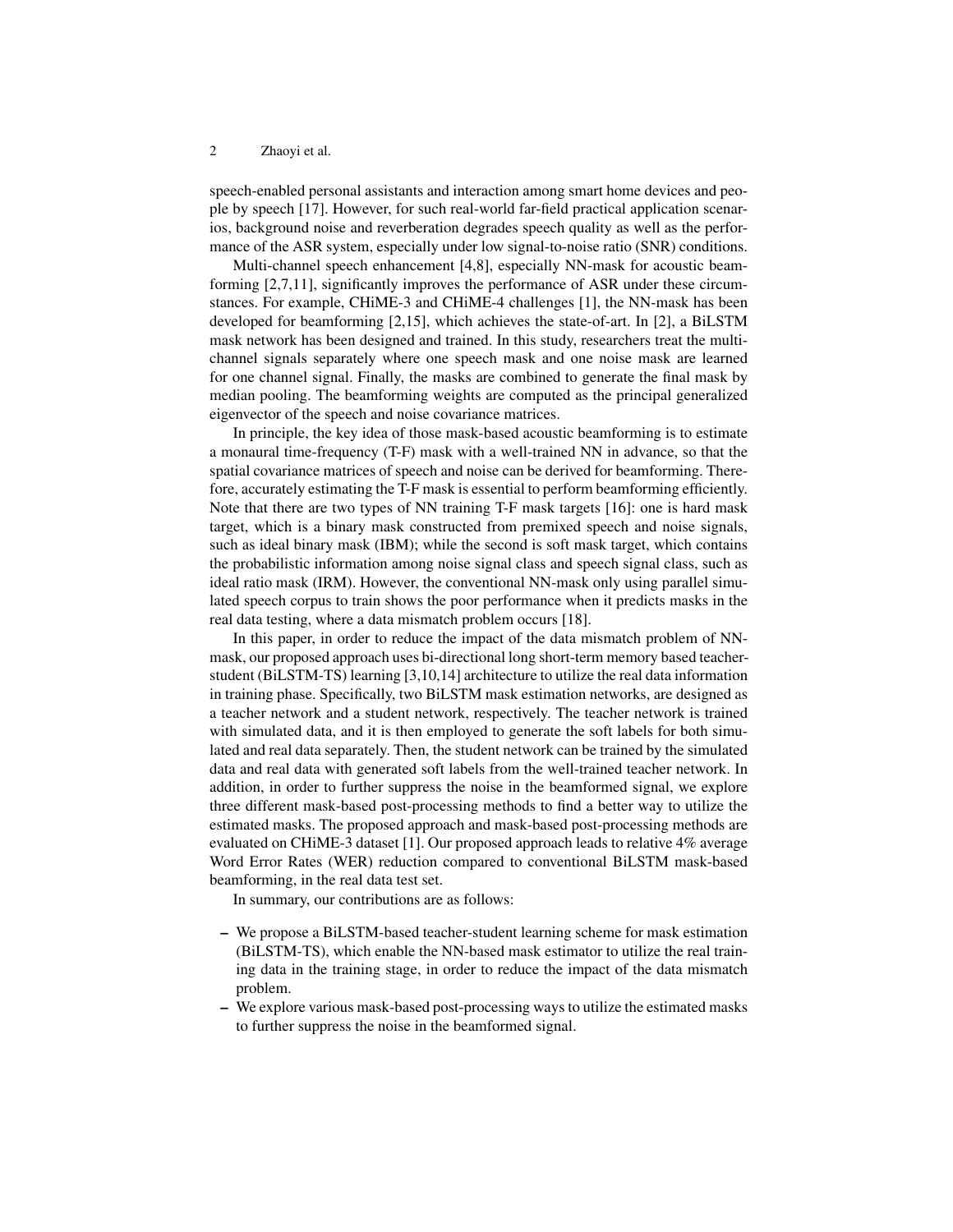speech-enabled personal assistants and interaction among smart home devices and people by speech [\[17\]](#page-10-1). However, for such real-world far-field practical application scenarios, background noise and reverberation degrades speech quality as well as the performance of the ASR system, especially under low signal-to-noise ratio (SNR) conditions.

Multi-channel speech enhancement [\[4,](#page-10-2)[8\]](#page-10-3), especially NN-mask for acoustic beamforming [\[2,](#page-10-4)[7,](#page-10-5)[11\]](#page-10-6), significantly improves the performance of ASR under these circumstances. For example, CHiME-3 and CHiME-4 challenges [\[1\]](#page-10-7), the NN-mask has been developed for beamforming [\[2,](#page-10-4)[15\]](#page-10-8), which achieves the state-of-art. In [\[2\]](#page-10-4), a BiLSTM mask network has been designed and trained. In this study, researchers treat the multichannel signals separately where one speech mask and one noise mask are learned for one channel signal. Finally, the masks are combined to generate the final mask by median pooling. The beamforming weights are computed as the principal generalized eigenvector of the speech and noise covariance matrices.

In principle, the key idea of those mask-based acoustic beamforming is to estimate a monaural time-frequency (T-F) mask with a well-trained NN in advance, so that the spatial covariance matrices of speech and noise can be derived for beamforming. Therefore, accurately estimating the T-F mask is essential to perform beamforming efficiently. Note that there are two types of NN training T-F mask targets [\[16\]](#page-10-9): one is hard mask target, which is a binary mask constructed from premixed speech and noise signals, such as ideal binary mask (IBM); while the second is soft mask target, which contains the probabilistic information among noise signal class and speech signal class, such as ideal ratio mask (IRM). However, the conventional NN-mask only using parallel simulated speech corpus to train shows the poor performance when it predicts masks in the real data testing, where a data mismatch problem occurs [\[18\]](#page-10-10).

In this paper, in order to reduce the impact of the data mismatch problem of NNmask, our proposed approach uses bi-directional long short-term memory based teacherstudent (BiLSTM-TS) learning [\[3,](#page-10-11)[10](#page-10-12)[,14\]](#page-10-13) architecture to utilize the real data information in training phase. Specifically, two BiLSTM mask estimation networks, are designed as a teacher network and a student network, respectively. The teacher network is trained with simulated data, and it is then employed to generate the soft labels for both simulated and real data separately. Then, the student network can be trained by the simulated data and real data with generated soft labels from the well-trained teacher network. In addition, in order to further suppress the noise in the beamformed signal, we explore three different mask-based post-processing methods to find a better way to utilize the estimated masks. The proposed approach and mask-based post-processing methods are evaluated on CHiME-3 dataset [\[1\]](#page-10-7). Our proposed approach leads to relative 4% average Word Error Rates (WER) reduction compared to conventional BiLSTM mask-based beamforming, in the real data test set.

In summary, our contributions are as follows:

- We propose a BiLSTM-based teacher-student learning scheme for mask estimation (BiLSTM-TS), which enable the NN-based mask estimator to utilize the real training data in the training stage, in order to reduce the impact of the data mismatch problem.
- We explore various mask-based post-processing ways to utilize the estimated masks to further suppress the noise in the beamformed signal.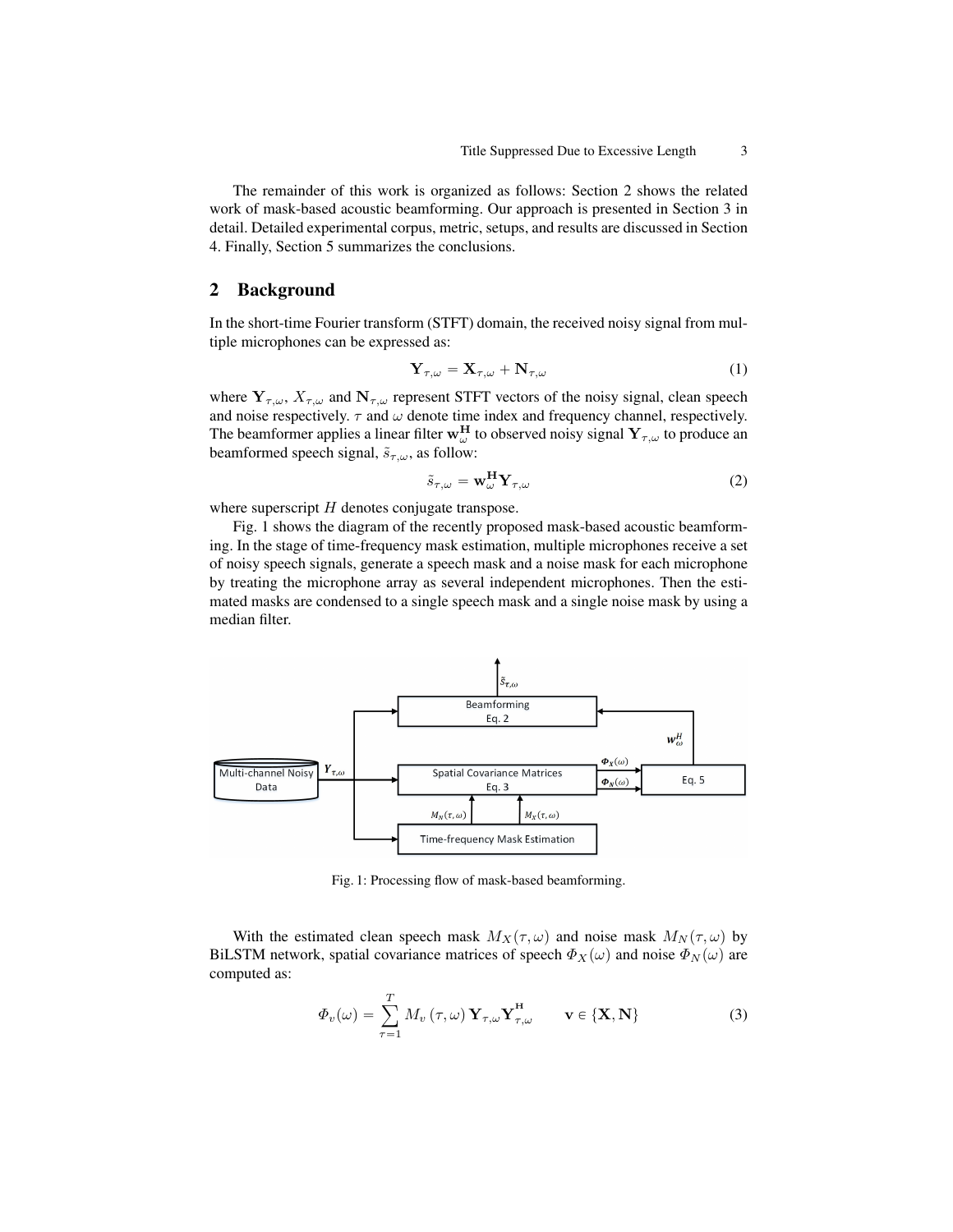The remainder of this work is organized as follows: Section 2 shows the related work of mask-based acoustic beamforming. Our approach is presented in Section 3 in detail. Detailed experimental corpus, metric, setups, and results are discussed in Section 4. Finally, Section 5 summarizes the conclusions.

### 2 Background

In the short-time Fourier transform (STFT) domain, the received noisy signal from multiple microphones can be expressed as:

$$
\mathbf{Y}_{\tau,\omega} = \mathbf{X}_{\tau,\omega} + \mathbf{N}_{\tau,\omega} \tag{1}
$$

where  $Y_{\tau,\omega}$ ,  $X_{\tau,\omega}$  and  $N_{\tau,\omega}$  represent STFT vectors of the noisy signal, clean speech and noise respectively.  $\tau$  and  $\omega$  denote time index and frequency channel, respectively. The beamformer applies a linear filter  $w_\omega^H$  to observed noisy signal  $Y_{\tau,\omega}$  to produce an beamformed speech signal,  $\tilde{s}_{\tau,\omega}$ , as follow:

$$
\tilde{s}_{\tau,\omega} = \mathbf{w}_{\omega}^{\mathbf{H}} \mathbf{Y}_{\tau,\omega}
$$
 (2)

where superscript  $H$  denotes conjugate transpose.

Fig. [1](#page-2-0) shows the diagram of the recently proposed mask-based acoustic beamforming. In the stage of time-frequency mask estimation, multiple microphones receive a set of noisy speech signals, generate a speech mask and a noise mask for each microphone by treating the microphone array as several independent microphones. Then the estimated masks are condensed to a single speech mask and a single noise mask by using a median filter.

<span id="page-2-0"></span>

Fig. 1: Processing flow of mask-based beamforming.

With the estimated clean speech mask  $M_X(\tau, \omega)$  and noise mask  $M_N(\tau, \omega)$  by BiLSTM network, spatial covariance matrices of speech  $\Phi_X(\omega)$  and noise  $\Phi_N(\omega)$  are computed as:

$$
\Phi_v(\omega) = \sum_{\tau=1}^T M_v(\tau, \omega) \mathbf{Y}_{\tau, \omega} \mathbf{Y}_{\tau, \omega}^{\mathbf{H}} \qquad \mathbf{v} \in \{\mathbf{X}, \mathbf{N}\}
$$
(3)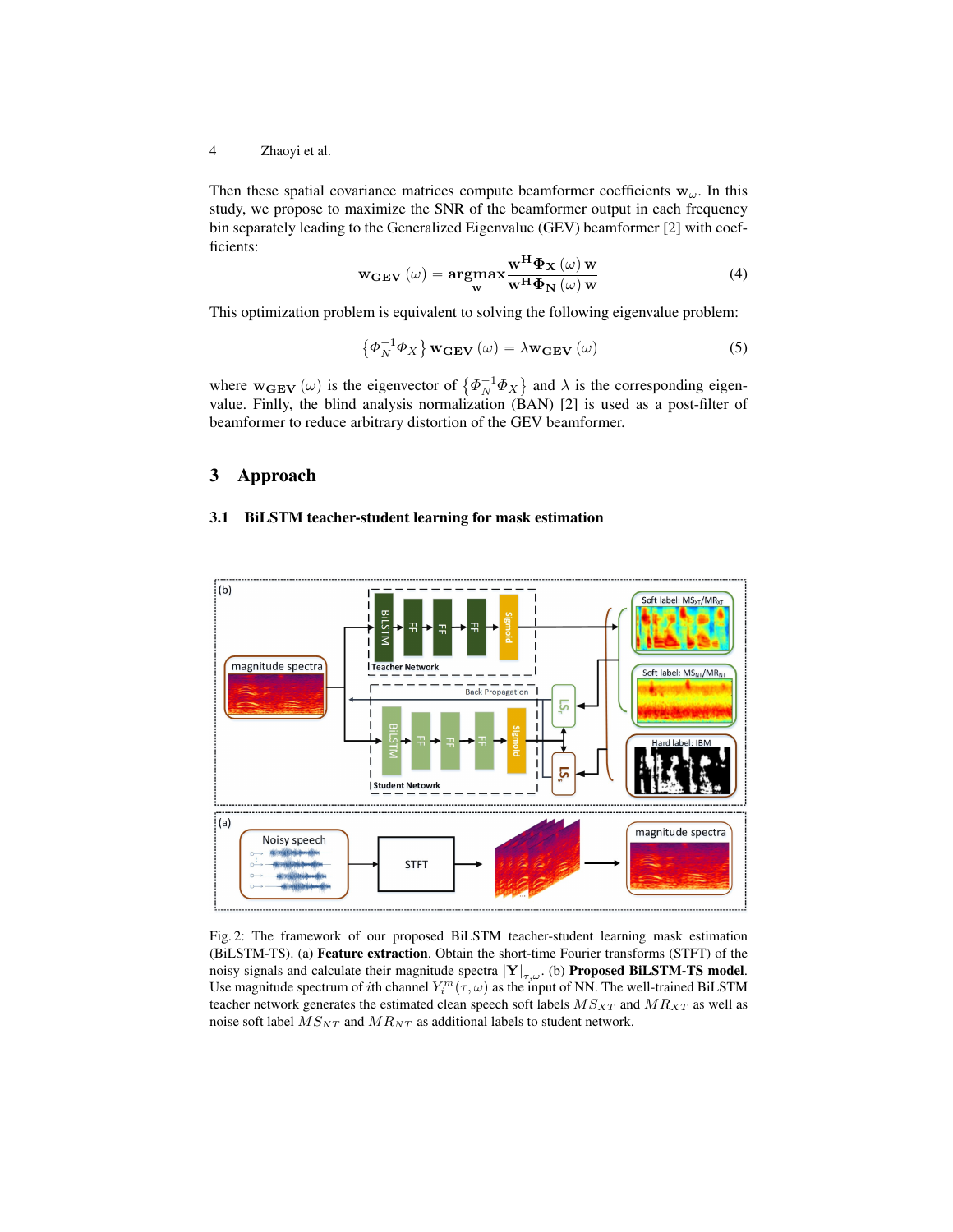Then these spatial covariance matrices compute beamformer coefficients  $w_{\omega}$ . In this study, we propose to maximize the SNR of the beamformer output in each frequency bin separately leading to the Generalized Eigenvalue (GEV) beamformer [\[2\]](#page-10-4) with coefficients:

$$
\mathbf{w}_{\mathbf{GEV}}\left(\omega\right) = \underset{\mathbf{w}}{\operatorname{argmax}} \frac{\mathbf{w}^{\mathbf{H}} \boldsymbol{\Phi}_{\mathbf{X}}\left(\omega\right) \mathbf{w}}{\mathbf{w}^{\mathbf{H}} \boldsymbol{\Phi}_{\mathbf{N}}\left(\omega\right) \mathbf{w}}
$$
(4)

This optimization problem is equivalent to solving the following eigenvalue problem:

$$
\left\{\Phi_N^{-1}\Phi_X\right\}\mathbf{w}_{\mathbf{GEV}}\left(\omega\right) = \lambda \mathbf{w}_{\mathbf{GEV}}\left(\omega\right) \tag{5}
$$

where  $w_{GEV}(\omega)$  is the eigenvector of  $\{\Phi_N^{-1}\Phi_X\}$ and  $\lambda$  is the corresponding eigenvalue. Finlly, the blind analysis normalization (BAN) [\[2\]](#page-10-4) is used as a post-filter of beamformer to reduce arbitrary distortion of the GEV beamformer.

## 3 Approach

#### 3.1 BiLSTM teacher-student learning for mask estimation

<span id="page-3-0"></span>

Fig. 2: The framework of our proposed BiLSTM teacher-student learning mask estimation (BiLSTM-TS). (a) Feature extraction. Obtain the short-time Fourier transforms (STFT) of the noisy signals and calculate their magnitude spectra  $|Y|_{\tau,\omega}$ . (b) Proposed BiLSTM-TS model. Use magnitude spectrum of *i*th channel  $Y_i^m(\tau,\omega)$  as the input of NN. The well-trained BiLSTM teacher network generates the estimated clean speech soft labels  $M S_{XT}$  and  $M R_{XT}$  as well as noise soft label  $MS_{NT}$  and  $MR_{NT}$  as additional labels to student network.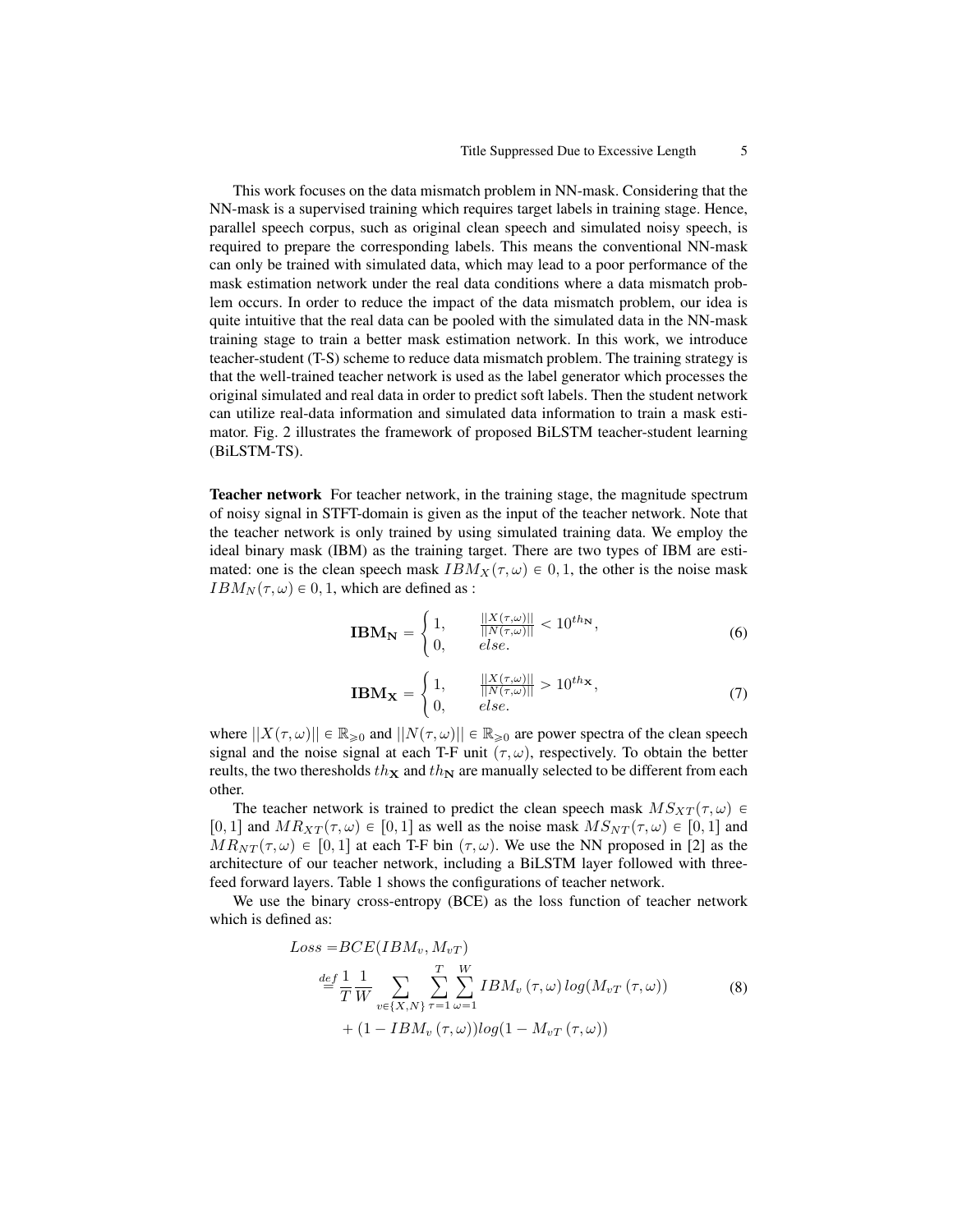This work focuses on the data mismatch problem in NN-mask. Considering that the NN-mask is a supervised training which requires target labels in training stage. Hence, parallel speech corpus, such as original clean speech and simulated noisy speech, is required to prepare the corresponding labels. This means the conventional NN-mask can only be trained with simulated data, which may lead to a poor performance of the mask estimation network under the real data conditions where a data mismatch problem occurs. In order to reduce the impact of the data mismatch problem, our idea is quite intuitive that the real data can be pooled with the simulated data in the NN-mask training stage to train a better mask estimation network. In this work, we introduce teacher-student (T-S) scheme to reduce data mismatch problem. The training strategy is that the well-trained teacher network is used as the label generator which processes the original simulated and real data in order to predict soft labels. Then the student network can utilize real-data information and simulated data information to train a mask estimator. Fig. [2](#page-3-0) illustrates the framework of proposed BiLSTM teacher-student learning (BiLSTM-TS).

Teacher network For teacher network, in the training stage, the magnitude spectrum of noisy signal in STFT-domain is given as the input of the teacher network. Note that the teacher network is only trained by using simulated training data. We employ the ideal binary mask (IBM) as the training target. There are two types of IBM are estimated: one is the clean speech mask  $IBM_{X}(\tau, \omega) \in 0, 1$ , the other is the noise mask  $IBM_N(\tau, \omega) \in 0, 1$ , which are defined as : #

$$
\mathbf{IBM_N} = \begin{cases} 1, & \frac{||X(\tau,\omega)||}{||N(\tau,\omega)||} < 10^{th_N}, \\ 0, & else. \end{cases} \tag{6}
$$

$$
\mathbf{IBM}_{\mathbf{X}} = \begin{cases} 1, & \frac{||X(\tau,\omega)||}{||N(\tau,\omega)||} > 10^{th_{\mathbf{X}}}, \\ 0, & \text{else.} \end{cases} \tag{7}
$$

where  $||X(\tau, \omega)|| \in \mathbb{R}_{\geq 0}$  and  $||N(\tau, \omega)|| \in \mathbb{R}_{\geq 0}$  are power spectra of the clean speech signal and the noise signal at each T-F unit  $(\tau, \omega)$ , respectively. To obtain the better reults, the two theresholds  $th_{\mathbf{X}}$  and  $th_{\mathbf{N}}$  are manually selected to be different from each other.

The teacher network is trained to predict the clean speech mask  $MS_{XT}(\tau, \omega) \in$ [0, 1] and  $MR_{XT}(\tau, \omega) \in [0, 1]$  as well as the noise mask  $MS_{NT}(\tau, \omega) \in [0, 1]$  and  $MR_{NT}(\tau, \omega) \in [0, 1]$  at each T-F bin  $(\tau, \omega)$ . We use the NN proposed in [\[2\]](#page-10-4) as the architecture of our teacher network, including a BiLSTM layer followed with threefeed forward layers. Table [1](#page-5-0) shows the configurations of teacher network.

We use the binary cross-entropy (BCE) as the loss function of teacher network which is defined as:

$$
Loss = BCE(IBM_v, M_{vT})
$$
  
\n
$$
\stackrel{def}{=} \frac{1}{T} \frac{1}{W} \sum_{v \in \{X, N\}} \sum_{\tau=1}^{T} \sum_{\omega=1}^{W} IBM_v(\tau, \omega) \log(M_{vT}(\tau, \omega))
$$
  
\n
$$
+ (1 - IBM_v(\tau, \omega)) \log(1 - M_{vT}(\tau, \omega))
$$
\n(8)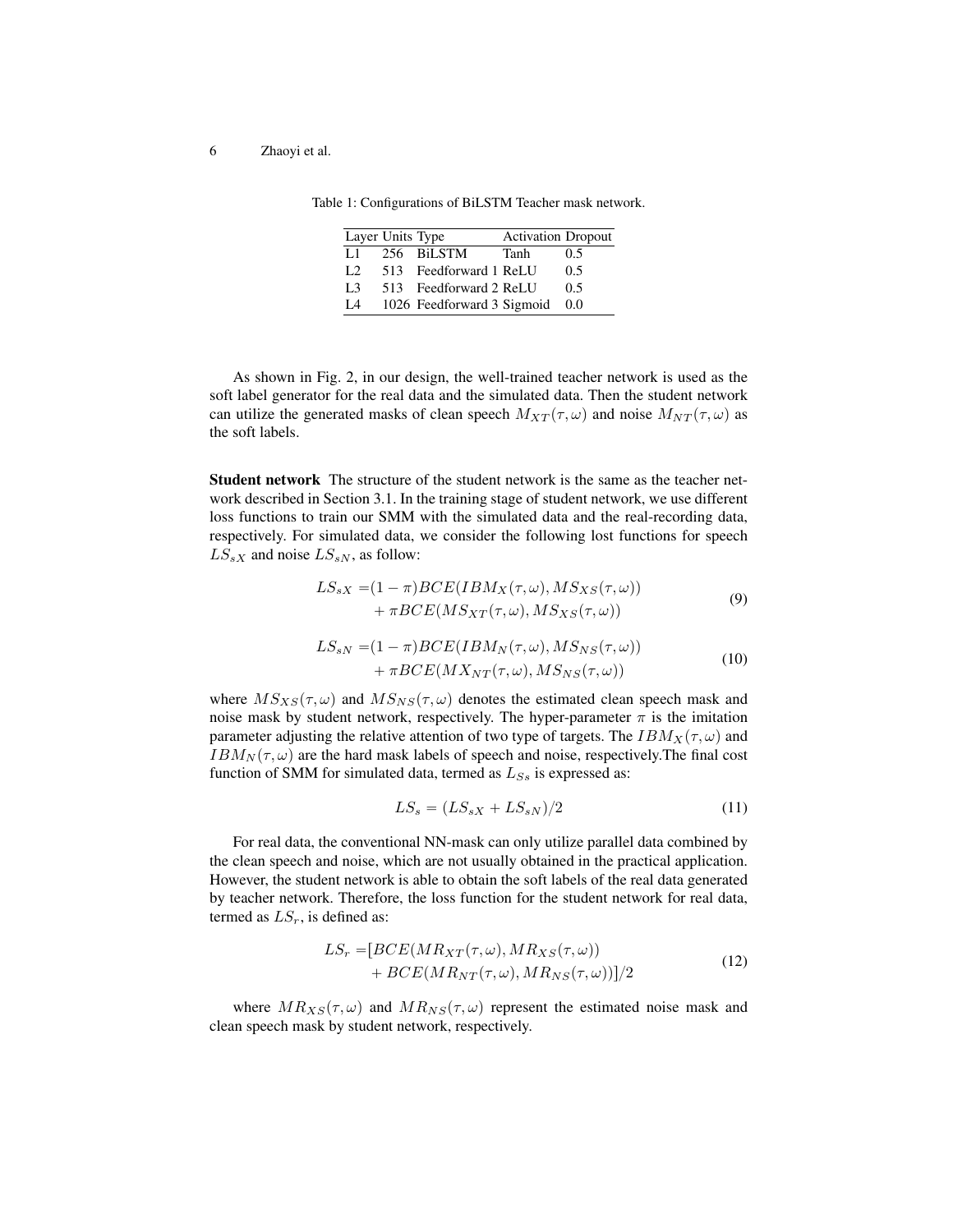|      | Layer Units Type       |      | <b>Activation Dropout</b> |
|------|------------------------|------|---------------------------|
| L 1. | 256 BiLSTM             | Tanh | 0.5                       |
|      | 513 Feedforward 1 ReLU |      | 0.5                       |

L3 513 Feedforward 2 ReLU 0.5 L4 1026 Feedforward 3 Sigmoid 0.0

<span id="page-5-0"></span>Table 1: Configurations of BiLSTM Teacher mask network.

| As shown in Fig. 2, in our design, the well-trained teacher network is used as the                       |
|----------------------------------------------------------------------------------------------------------|
| soft label generator for the real data and the simulated data. Then the student network                  |
| can utilize the generated masks of clean speech $M_{XT}(\tau,\omega)$ and noise $M_{NT}(\tau,\omega)$ as |
| the soft labels.                                                                                         |

Student network The structure of the student network is the same as the teacher network described in Section 3.1. In the training stage of student network, we use different loss functions to train our SMM with the simulated data and the real-recording data, respectively. For simulated data, we consider the following lost functions for speech  $LS_{sX}$  and noise  $LS_{sN}$ , as follow:

$$
LS_{sX} = (1 - \pi)BCE(IBM_X(\tau, \omega), MS_{XS}(\tau, \omega)) + \pi BCE(MS_{XT}(\tau, \omega), MS_{XS}(\tau, \omega))
$$
\n(9)

$$
LS_{sN} = (1 - \pi)BCE(IBM_N(\tau, \omega), MS_{NS}(\tau, \omega))
$$
  
+ 
$$
\pi BCE(MX_{NT}(\tau, \omega), MS_{NS}(\tau, \omega))
$$
 (10)

where  $M S_{XS}(\tau, \omega)$  and  $M S_{NS}(\tau, \omega)$  denotes the estimated clean speech mask and noise mask by student network, respectively. The hyper-parameter  $\pi$  is the imitation parameter adjusting the relative attention of two type of targets. The  $IBM_{X}(\tau, \omega)$  and  $IBM_N(\tau, \omega)$  are the hard mask labels of speech and noise, respectively. The final cost function of SMM for simulated data, termed as  $L_{S_s}$  is expressed as:

$$
LS_s = (LS_{sX} + LS_{sN})/2 \tag{11}
$$

For real data, the conventional NN-mask can only utilize parallel data combined by the clean speech and noise, which are not usually obtained in the practical application. However, the student network is able to obtain the soft labels of the real data generated by teacher network. Therefore, the loss function for the student network for real data, termed as  $LS<sub>r</sub>$ , is defined as:

$$
LS_r = [BCE(MR_{XT}(\tau, \omega), MR_{XS}(\tau, \omega))+ BCE(MR_{NT}(\tau, \omega), MR_{NS}(\tau, \omega))]/2
$$
\n(12)

where  $MR_{XS}(\tau, \omega)$  and  $MR_{NS}(\tau, \omega)$  represent the estimated noise mask and clean speech mask by student network, respectively.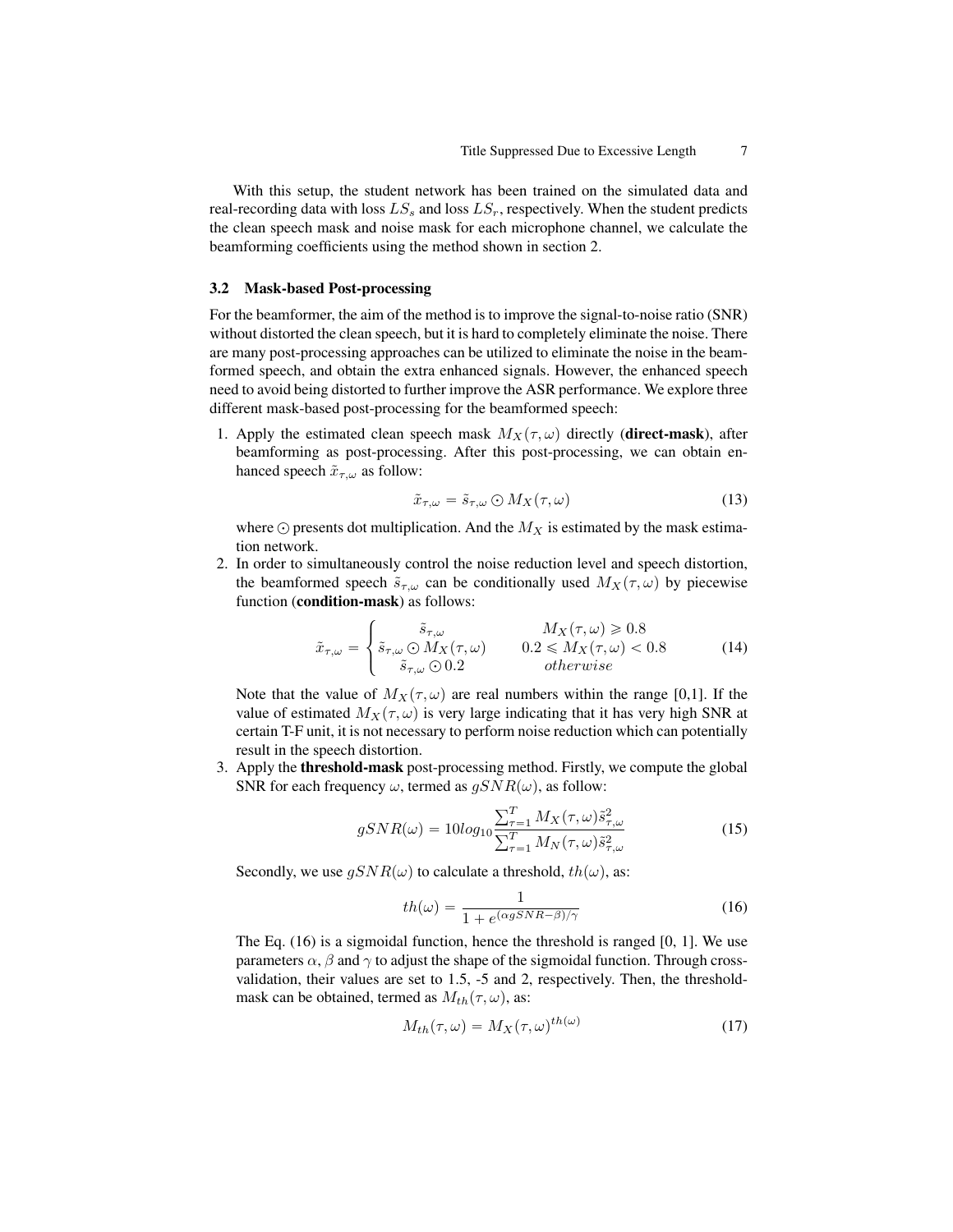With this setup, the student network has been trained on the simulated data and real-recording data with loss  $LS_s$  and loss  $LS_r$ , respectively. When the student predicts the clean speech mask and noise mask for each microphone channel, we calculate the beamforming coefficients using the method shown in section 2.

#### 3.2 Mask-based Post-processing

For the beamformer, the aim of the method is to improve the signal-to-noise ratio (SNR) without distorted the clean speech, but it is hard to completely eliminate the noise. There are many post-processing approaches can be utilized to eliminate the noise in the beamformed speech, and obtain the extra enhanced signals. However, the enhanced speech need to avoid being distorted to further improve the ASR performance. We explore three different mask-based post-processing for the beamformed speech:

1. Apply the estimated clean speech mask  $M_X(\tau, \omega)$  directly (direct-mask), after beamforming as post-processing. After this post-processing, we can obtain enhanced speech  $\tilde{x}_{\tau,\omega}$  as follow:

$$
\tilde{x}_{\tau,\omega} = \tilde{s}_{\tau,\omega} \bigcirc M_X(\tau,\omega) \tag{13}
$$

where  $\odot$  presents dot multiplication. And the  $M_X$  is estimated by the mask estimation network.

2. In order to simultaneously control the noise reduction level and speech distortion, the beamformed speech  $\tilde{s}_{\tau,\omega}$  can be conditionally used  $M_X(\tau, \omega)$  by piecewise function (**condition-mask**) as follows:

$$
\tilde{x}_{\tau,\omega} = \begin{cases}\n\tilde{s}_{\tau,\omega} & M_X(\tau,\omega) \ge 0.8 \\
\tilde{s}_{\tau,\omega} \bigcirc M_X(\tau,\omega) & 0.2 \le M_X(\tau,\omega) < 0.8 \\
\tilde{s}_{\tau,\omega} \bigcirc 0.2 & otherwise\n\end{cases}
$$
\n(14)

Note that the value of  $M_X(\tau, \omega)$  are real numbers within the range [0,1]. If the value of estimated  $M_X(\tau, \omega)$  is very large indicating that it has very high SNR at certain T-F unit, it is not necessary to perform noise reduction which can potentially result in the speech distortion.

3. Apply the threshold-mask post-processing method. Firstly, we compute the global SNR for each frequency  $\omega$ , termed as  $qSNR(\omega)$ , as follow:

$$
gSNR(\omega) = 10\log_{10}\frac{\sum_{\tau=1}^{T} M_X(\tau, \omega)\tilde{s}^2_{\tau, \omega}}{\sum_{\tau=1}^{T} M_N(\tau, \omega)\tilde{s}^2_{\tau, \omega}}
$$
(15)

Secondly, we use  $qSNR(\omega)$  to calculate a threshold,  $th(\omega)$ , as:

<span id="page-6-0"></span>
$$
th(\omega) = \frac{1}{1 + e^{(\alpha g SNR - \beta)/\gamma}}
$$
(16)

The Eq. [\(16\)](#page-6-0) is a sigmoidal function, hence the threshold is ranged [0, 1]. We use parameters  $\alpha$ ,  $\beta$  and  $\gamma$  to adjust the shape of the sigmoidal function. Through crossvalidation, their values are set to 1.5, -5 and 2, respectively. Then, the thresholdmask can be obtained, termed as  $M_{th}(\tau, \omega)$ , as:

<span id="page-6-1"></span>
$$
M_{th}(\tau,\omega) = M_X(\tau,\omega)^{th(\omega)} \tag{17}
$$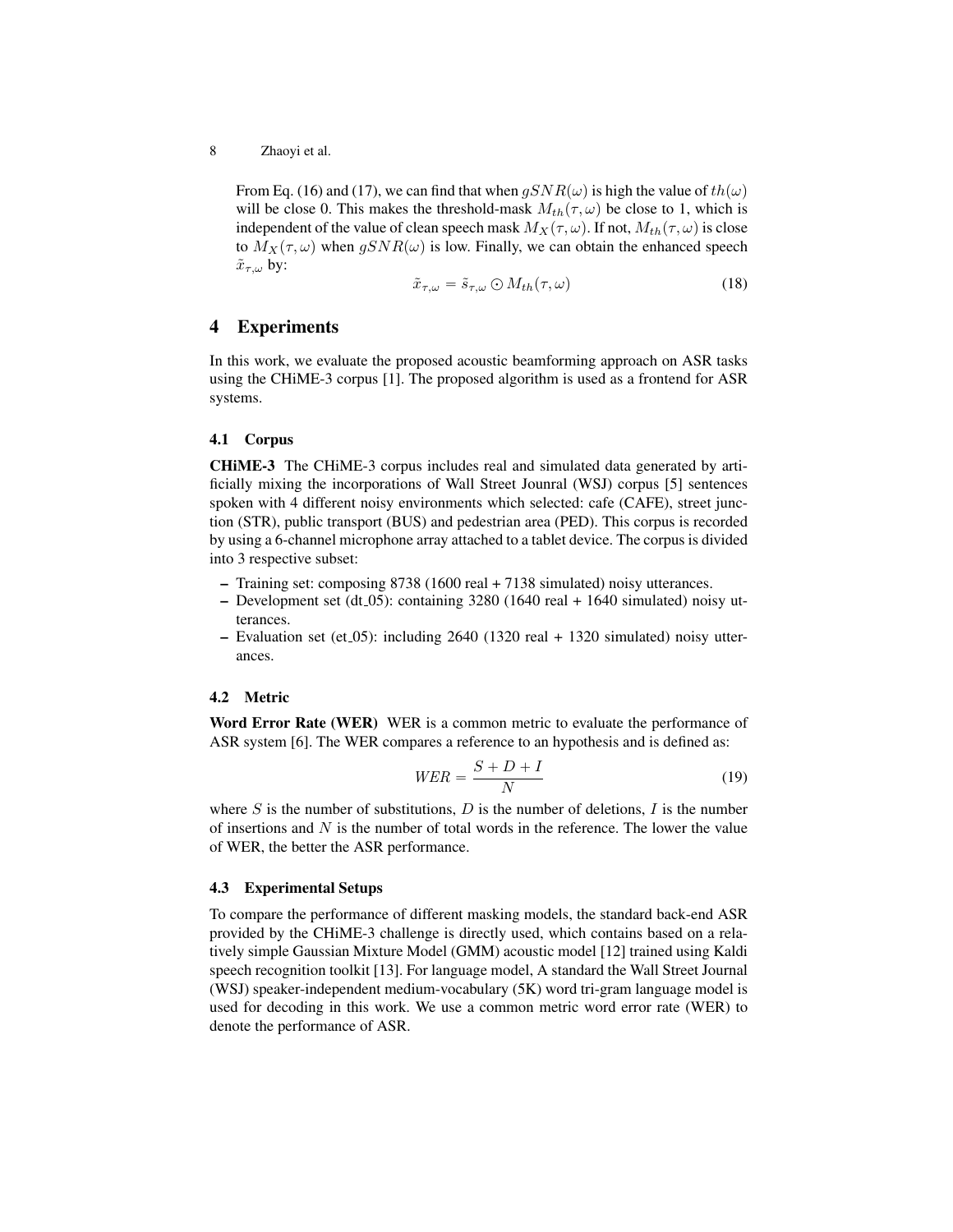From Eq. [\(16\)](#page-6-0) and [\(17\)](#page-6-1), we can find that when  $gSNR(\omega)$  is high the value of  $th(\omega)$ will be close 0. This makes the threshold-mask  $M_{th}(\tau, \omega)$  be close to 1, which is independent of the value of clean speech mask  $M_X(\tau, \omega)$ . If not,  $M_{th}(\tau, \omega)$  is close to  $M_X(\tau, \omega)$  when  $gSNR(\omega)$  is low. Finally, we can obtain the enhanced speech  $\tilde{x}_{\tau,\omega}$  by:

$$
\tilde{x}_{\tau,\omega} = \tilde{s}_{\tau,\omega} \bigcirc M_{th}(\tau,\omega) \tag{18}
$$

## 4 Experiments

In this work, we evaluate the proposed acoustic beamforming approach on ASR tasks using the CHiME-3 corpus [\[1\]](#page-10-7). The proposed algorithm is used as a frontend for ASR systems.

#### 4.1 Corpus

CHiME-3 The CHiME-3 corpus includes real and simulated data generated by artificially mixing the incorporations of Wall Street Jounral (WSJ) corpus [\[5\]](#page-10-14) sentences spoken with 4 different noisy environments which selected: cafe (CAFE), street junction (STR), public transport (BUS) and pedestrian area (PED). This corpus is recorded by using a 6-channel microphone array attached to a tablet device. The corpus is divided into 3 respective subset:

- Training set: composing 8738 (1600 real + 7138 simulated) noisy utterances.
- Development set (dt\_05): containing  $3280$  (1640 real + 1640 simulated) noisy utterances.
- $-$  Evaluation set (et 05): including 2640 (1320 real  $+$  1320 simulated) noisy utterances.

#### 4.2 Metric

Word Error Rate (WER) WER is a common metric to evaluate the performance of ASR system [\[6\]](#page-10-15). The WER compares a reference to an hypothesis and is defined as:

$$
WER = \frac{S + D + I}{N} \tag{19}
$$

where S is the number of substitutions, D is the number of deletions, I is the number of insertions and  $N$  is the number of total words in the reference. The lower the value of WER, the better the ASR performance.

#### 4.3 Experimental Setups

To compare the performance of different masking models, the standard back-end ASR provided by the CHiME-3 challenge is directly used, which contains based on a relatively simple Gaussian Mixture Model (GMM) acoustic model [\[12\]](#page-10-16) trained using Kaldi speech recognition toolkit [\[13\]](#page-10-17). For language model, A standard the Wall Street Journal (WSJ) speaker-independent medium-vocabulary (5K) word tri-gram language model is used for decoding in this work. We use a common metric word error rate (WER) to denote the performance of ASR.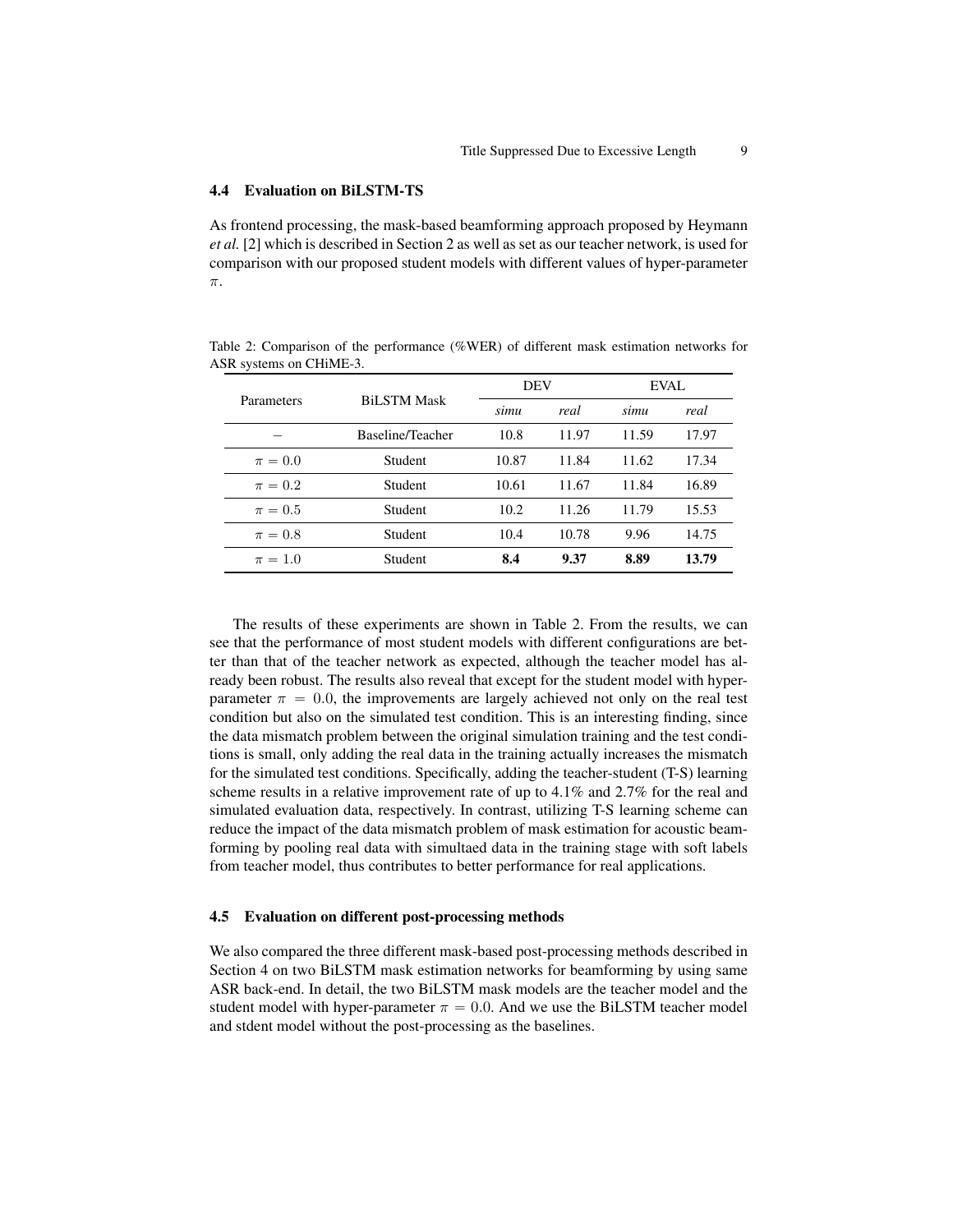#### 4.4 Evaluation on BiLSTM-TS

As frontend processing, the mask-based beamforming approach proposed by Heymann *et al.* [\[2\]](#page-10-4) which is described in Section 2 as well as set as our teacher network, is used for comparison with our proposed student models with different values of hyper-parameter π.

<span id="page-8-0"></span>Table 2: Comparison of the performance (%WER) of different mask estimation networks for ASR systems on CHiME-3.

|             | <b>BiLSTM Mask</b> | <b>DEV</b> |       | EVAL  |       |
|-------------|--------------------|------------|-------|-------|-------|
| Parameters  |                    | simu       | real  | simu  | real  |
|             | Baseline/Teacher   | 10.8       | 11.97 | 11.59 | 17.97 |
| $\pi = 0.0$ | Student            | 10.87      | 11.84 | 11.62 | 17.34 |
| $\pi = 0.2$ | Student            | 10.61      | 11.67 | 11.84 | 16.89 |
| $\pi = 0.5$ | Student            | 10.2       | 11.26 | 11.79 | 15.53 |
| $\pi = 0.8$ | Student            | 10.4       | 10.78 | 9.96  | 14.75 |
| $\pi = 1.0$ | Student            | 8.4        | 9.37  | 8.89  | 13.79 |

The results of these experiments are shown in Table [2.](#page-8-0) From the results, we can see that the performance of most student models with different configurations are better than that of the teacher network as expected, although the teacher model has already been robust. The results also reveal that except for the student model with hyperparameter  $\pi = 0.0$ , the improvements are largely achieved not only on the real test condition but also on the simulated test condition. This is an interesting finding, since the data mismatch problem between the original simulation training and the test conditions is small, only adding the real data in the training actually increases the mismatch for the simulated test conditions. Specifically, adding the teacher-student (T-S) learning scheme results in a relative improvement rate of up to 4.1% and 2.7% for the real and simulated evaluation data, respectively. In contrast, utilizing T-S learning scheme can reduce the impact of the data mismatch problem of mask estimation for acoustic beamforming by pooling real data with simultaed data in the training stage with soft labels from teacher model, thus contributes to better performance for real applications.

#### 4.5 Evaluation on different post-processing methods

We also compared the three different mask-based post-processing methods described in Section 4 on two BiLSTM mask estimation networks for beamforming by using same ASR back-end. In detail, the two BiLSTM mask models are the teacher model and the student model with hyper-parameter  $\pi = 0.0$ . And we use the BiLSTM teacher model and stdent model without the post-processing as the baselines.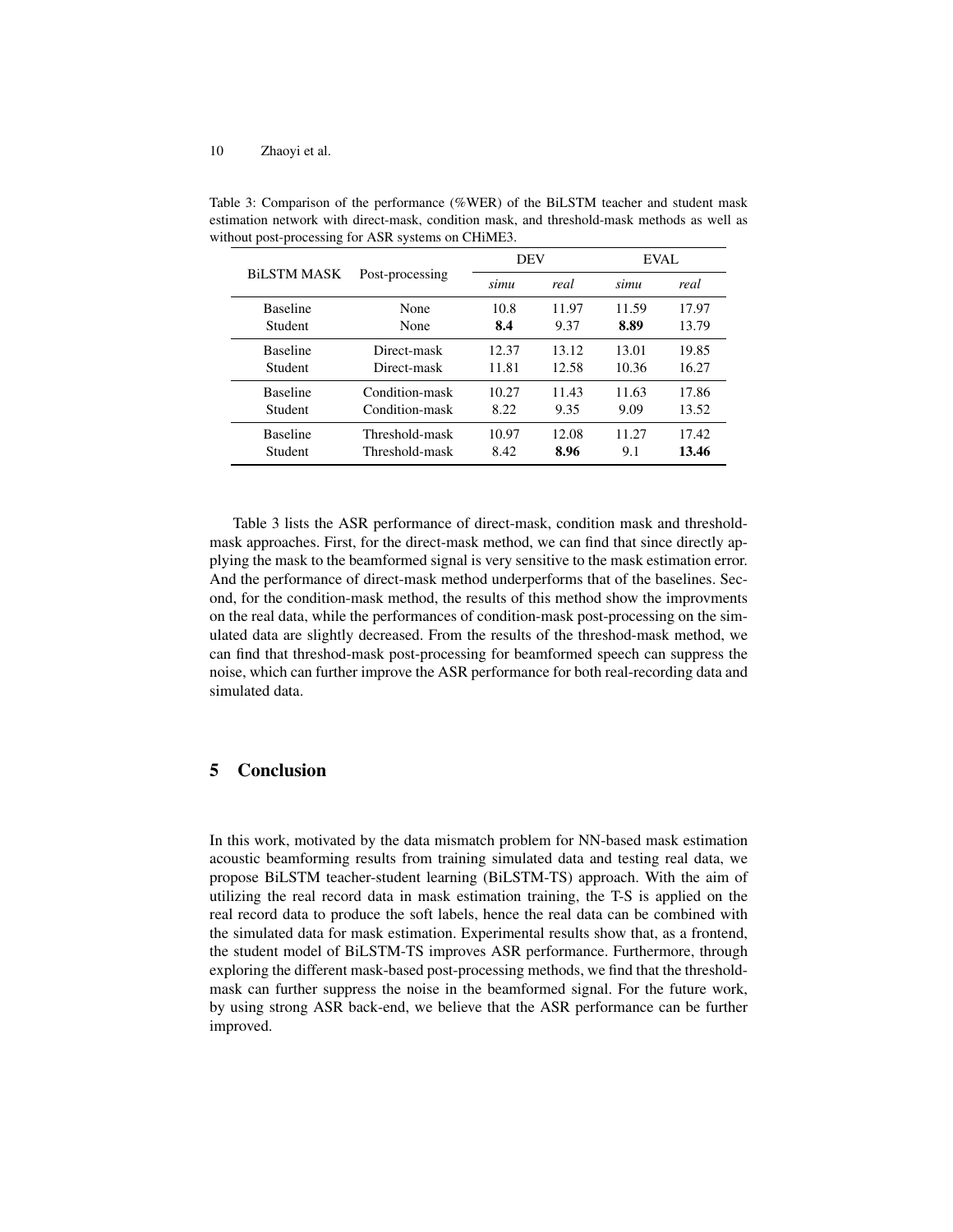|                    | Post-processing | <b>DEV</b> |       | EVAL  |       |
|--------------------|-----------------|------------|-------|-------|-------|
| <b>BILSTM MASK</b> |                 | simu       | real  | simu  | real  |
| <b>Baseline</b>    | None            | 10.8       | 11.97 | 11.59 | 17.97 |
| Student            | None            | 8.4        | 9.37  | 8.89  | 13.79 |
| <b>Baseline</b>    | Direct-mask     | 12.37      | 13.12 | 13.01 | 19.85 |
| Student            | Direct-mask     | 11.81      | 12.58 | 10.36 | 16.27 |
| <b>Baseline</b>    | Condition-mask  | 10.27      | 11.43 | 11.63 | 17.86 |
| Student            | Condition-mask  | 8.22       | 9.35  | 9.09  | 13.52 |
| <b>Baseline</b>    | Threshold-mask  | 10.97      | 12.08 | 11.27 | 17.42 |
| Student            | Threshold-mask  | 8.42       | 8.96  | 9.1   | 13.46 |

<span id="page-9-0"></span>Table 3: Comparison of the performance (%WER) of the BiLSTM teacher and student mask estimation network with direct-mask, condition mask, and threshold-mask methods as well as without post-processing for ASR systems on CHiME3.

Table [3](#page-9-0) lists the ASR performance of direct-mask, condition mask and thresholdmask approaches. First, for the direct-mask method, we can find that since directly applying the mask to the beamformed signal is very sensitive to the mask estimation error. And the performance of direct-mask method underperforms that of the baselines. Second, for the condition-mask method, the results of this method show the improvments on the real data, while the performances of condition-mask post-processing on the simulated data are slightly decreased. From the results of the threshod-mask method, we can find that threshod-mask post-processing for beamformed speech can suppress the noise, which can further improve the ASR performance for both real-recording data and simulated data.

## 5 Conclusion

In this work, motivated by the data mismatch problem for NN-based mask estimation acoustic beamforming results from training simulated data and testing real data, we propose BiLSTM teacher-student learning (BiLSTM-TS) approach. With the aim of utilizing the real record data in mask estimation training, the T-S is applied on the real record data to produce the soft labels, hence the real data can be combined with the simulated data for mask estimation. Experimental results show that, as a frontend, the student model of BiLSTM-TS improves ASR performance. Furthermore, through exploring the different mask-based post-processing methods, we find that the thresholdmask can further suppress the noise in the beamformed signal. For the future work, by using strong ASR back-end, we believe that the ASR performance can be further improved.